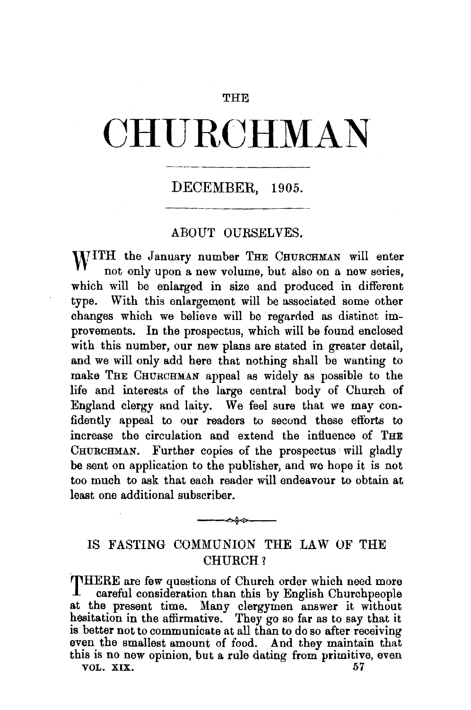## **THE**

# **CHURCHMAN**

# DECEMBER, 1905.

## ABOUT OURSELVES.

WITH the January number THE CHURCHMAN will enter not only upon a new volume, but also on a new series, which will be enlarged in size and produced in different type. With this enlargement will be associated some other changes which we believe will be regarded as distinct improvements. In the prospectus, which will be found enclosed with this number, our new plans are stated in greater detail, and we will only add here that nothing shall be wanting to make THE CHURCHMAN appeal as widely as possible to the life and interests of the large central body of Church of England clergy and laity. We feel sure that we may confidently appeal to our readers to second these efforts to increase the circulation and extend the influence of THE CHURCHMAN. Further copies of the prospectus will gladly be sent on application to the publisher, and we hope it is not too much to ask that each reader will endeavour to obtain at least one additional subscriber.

## IS FASTING COMMUNION THE LAW OF THE CHURCH?

--~

THERE are few questions of Church order which need more<br>careful consideration than this by Fuelish Churchnoonle careful consideration than this by English Churchpeople at the present time. Many clergymen answer it without hesitation in the affirmative. They go so far as to say that it is better not to communicate at all than to do so after receiving even the smallest amount of food. And they maintain that this is no new opinion, but a rule dating from primitive, even VOL. XIX. 57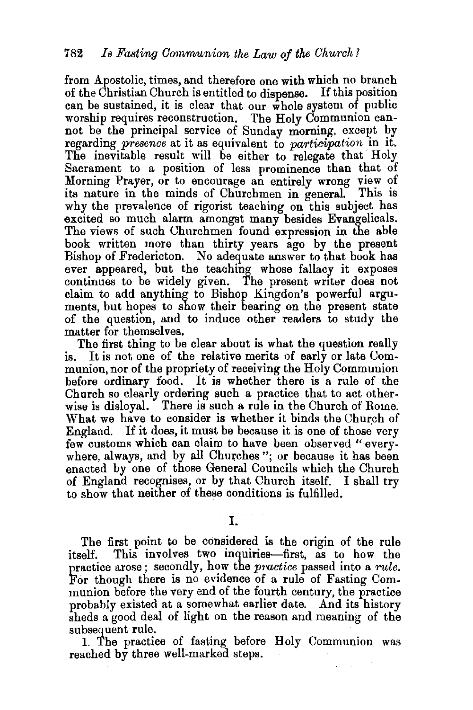from Apostolic, times, and therefore one with which no branch of the Christian Church is entitled to dispense. If this position can be sustained, it is clear that our  $\hat{\mathbf{w}}$  hole system of public worship requires reconstruction. The Holy Communion cannot be the principal service of Sunday morning, except by regarding *presence* at it as equivalent to *participation* in it. The inevitable result will be either to relegate that Holy Sacrament to a position of less prominence than that of Morning Prayer, or to encourage an entirely wrong view of its nature in the minds of Churchmen in general. This is why the prevalence of rigorist teaching on this subject has excited so much alarm amongst many besides Evangelicals. The views of such Churchmen found expression in the able book written more than thirty years ago by the present Bishop of Fredericton. No adequate answer to that book has ever appeared, but the teaching whose fallacy it exposes continues to be widely given. The present writer does not claim to add anything to Bishop Kingdon's powerful arguments, but hopes to show their bearing on the present state of the question, and to induce other readers to study the matter for themselves.

The first thing to be clear about is what the question really is. It is not one of the relative merits of early or late Communion, nor of the propriety of receiving the Holy Communion before ordinary food. It is whether there is a rule of the Church so clearly ordering such a practice that to act otherwise is disloyal. There is such a rule in the Church of Rome. What we have to consider is whether it binds the Church of England. If it does, it must be because it is one of those very few customs which can claim to have been observed "everywhere, always, and by all Churches "; or because it has been enacted by one of those General Councils which the Church of England recognises, or by that Church itself. I shall try to show that neither of these conditions is fulfilled.

I.

The first point to be considered is the origin of the rule itself. This involves two inquiries-first, as to how the practice arose; secondly, how the *p'ractice* passed into a *rule.*  For though there is no evidence of a rule of Fasting Communion before the very end of the fourth century, the practice probably existed at a somewhat earlier date. And its history sheds a good deal of light on the reason and meaning of the subsequent rule.

1. The practice of fasting before Holy Communion was reached by three well-marked steps.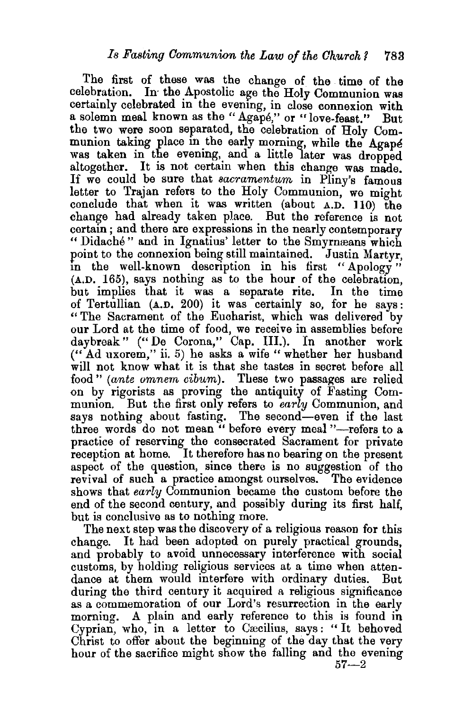The first of these was the change of the time of the celebration. In the Apostolic age the Holy Communion was certainly celebrated in the evening, in close connexion with a solemn meal known as the " Agape," or " love-feast." But the two were soon separated, the celebration of Holy Communion taking place in the early morning, while the Agape was taken in the evening, and a little later was dropped altogether. It is not certain when this change was made. If we could be sure that *sacramentum* in Pliny's famous letter to Trajan refers to the Holy Communion, we might conclude that when it was written (about A.D. 110) the change had already taken place. But the reference is not certain; and there are expressions in the nearly contemporary " Didaché" and in Ignatius' letter to the Smyrnæans which point to the connexion being still maintained. Justin Martyr, in the well-known description in his first "Apology" (A.D. 165), says nothing as to the hour of the celebration, but implies that it was a separate rite. In the time of Tertullian (A.D. 200) it was certainly so, for he says : "The Sacrament of the Eucharist, which was delivered by our Lord at the time of food, we receive in assemblies before daybreak" ("De Corona," Cap. III.). In another work (" Ad uxorem," ii. 5) he asks a wife "whether her husband will not know what it is that she tastes in secret before all food" *(ante omnem cibum).* These two passages are relied on by rigorists as proving the antiquity of Fasting Communion. But the first only refers to *early* Communion, and says nothing about fasting. The second-even if the last three words do not mean " before every meal "-refers to a practice of reserving the consecrated Sacrament for private reception at home. It therefore has no bearing on the present aspect of the question, since there is no suggestion of the revival of such a practice amongst ourselves. The evidence shows that *early* Communion became the custom before the end of the second century, and possibly during its first half, but is conclusive as to nothing more.

The next step was the discovery of a religious reason for this change. It had been adopted on purely practical grounds, and probably to avoid unnecessary interference with social customs, by holding religious services at a time when attendance at them would interfere with ordinary duties. But during the third century it acquired a religious significance as a commemoration of our Lord's resurrection in the early morning. A plain and early reference to this is found in Cyprian, who, in a letter to Cæcilius, says: "It behoved Christ to offer about the beginning of the day that the very hour of the sacrifice might show the falling and the evening

 $57 - 2$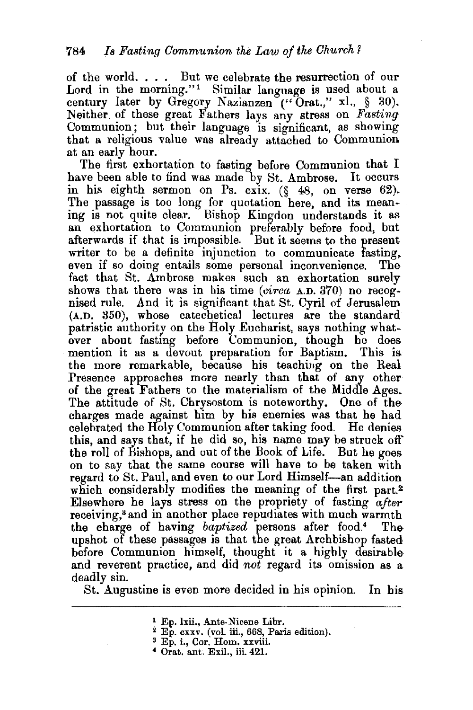of the world. . . . But we celebrate the resurrection of our Lord in the morning." $1$  Similar language is used about a century later by Gregory Nazianzen ("Orat.," xl., § 30). Neither. of these great Fathers lays any stress on *Fasting*  Communion; but their language is significant, as showing that a religious value was already attached to Communion at an early hour.

The first exhortation to fasting before Communion that I have been able to find was made by St. Ambrose. It occurs in his eighth sermon on Ps. cxix. (§ 48, on verse 62). The passage is too long for quotation here, and its meaning is not quite clear. Bishop Kingdon understands it as an exhortation to Communion preferably before food, but afterwards if that is impossible. But it seems to the present writer to be a definite injunction to communicate fasting. even if so doing entails some personal inconvenience. The fact that St. Ambrose makes such an exhortation surely shows that there was in his time *(circa A.D.* 370) no recognised rule. And it is significant that St. Cyril of Jerusalem (A.D. 350), whose catechetical lectures are the standard patristic authority on the Holy Eucharist, says nothing whatever about fasting before Communion, though he does mention it as a devout preparation for Baptism. This is the more remarkable, because his teachiug on the Real Presence approaches more nearly than that of any other of the great Fathers to the materialism of the Middle Ages. The attitude of St. Chrysostom is noteworthy. One of the charges made against him by his enemies was that he bad celebrated the Holy Communion after taking food. He denies this, and says that, if he did so, his name may be struck off the roll of Bishops, and out of the Book of Life. But he goes on to say that the same course will have to be taken with regard to St. Paul, and even to our Lord Himself-an addition which considerably modifies the meaning of the first part.<sup>2</sup> Elsewhere he lays stress on the propriety of fasting *after* receiving,<sup>3</sup> and in another place repudiates with much warmth the charge of having *baptized* persons after food.4 The upshot of these passages is that the great Archbishop fasted before Communion himself, thought it a highly desirable and reverent practice, and did *not* regard its omission as a deadly sin.

St. Augustine is even more decided in his opinion. In his

<sup>&</sup>lt;sup>1</sup> Ep. lxii., Ante-Nicene Libr.<br><sup>2</sup> Ep. cxxv. (vol. iii., 668, Paris edition).<br><sup>3</sup> Ep. i., Cor. Hom. xxviii.

 $4$  Orat. ant. Exil., iii.  $421$ .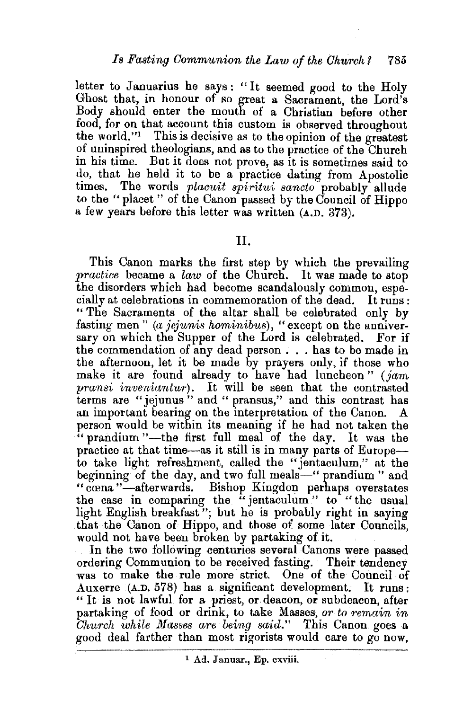letter to Januarius he says: "It seemed good to the Holy Ghost that, in honour of so great a Sacrament, the Lord's Body should enter the mouth of a Christian before other food, for on that account this custom is observed throughout the world."<sup>1</sup> This is decisive as to the opinion of the greatest of uninspired theologians, and as to the practice of the Church in his time. But it does not prove, as it is sometimes said to do, that he held it to be a practice dating from Apostolic times. The words *placuit spiritui sancto* probably allude The words *placuit spiritui sancto* probably allude to the "placet " of the Canon passed by the Council of Hippo a few years before this letter was written (A.D. 373).

### II.

This Canon marks the first step by which the prevailing *practice* became a *law* of the Church. It was made to stop the disorders which had become scandalously common, especially at celebrations in commemoration of the dead. It runs : " The Sacraments of the altar shall be celebrated only by fasting men" *(a jejunis hominibus),* "except on the anniversary on which the Supper of the Lord is celebrated. For if the commendation of any dead person . . . has to be made in the afternoon, let it be made by prayers only, if those who make it are found already to have had luncheon " *(jam pransi inveniantur*). It will be seen that the contrasted terms are "jejunus" and " pransus," and this contrast has an important bearing on the interpretation of the Canon. person would be within its meaning if he had not taken the " prandium "-the first full meal of the day. It was the practice at that time-as it still is in many parts of Europeto take light refreshment, called the "jentaculum," at the beginning of the day, and two full meals—" prandium" and " cœna "-afterwards. Bishop Kingdon perhaps overstates the case in comparing the "jentaculum" to "the usual light English breakfast"; but he is probably right in saying that the Canon of Hippo, and those of some later Councils, would not have been broken by partaking of it.

In the two following centuries several Canons were passed ordering Communion to be received fasting. Their tendency was to make the rule more strict. One of the Council of Auxerre (A.D. 578) has a. significant development. It runs: " It is not lawful for a priest, or deacon, or subdeacon, after partaking of food or drink, to take Masses, *or to remain in Church while Masses are being said."* This Canon goes a good deal farther than most rigorists would care to go now,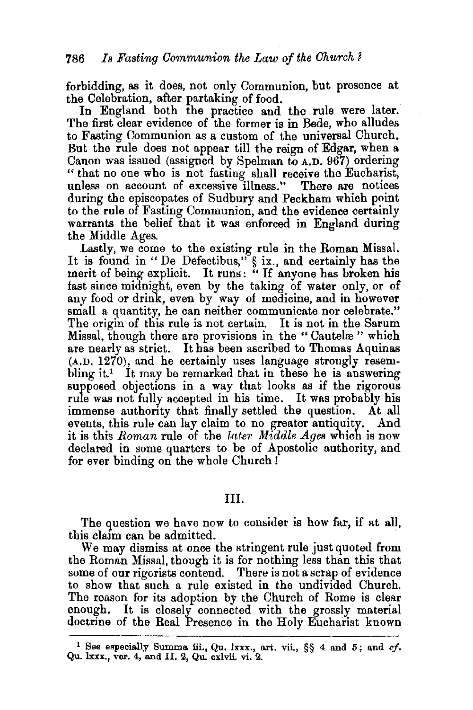forbidding, as it does, not only Communion, but presence at

In England both the practice and the rule were later. The first clear evidence of the former is in Bede, who alludes to Fasting Communion as a custom of the universal Church. But the rule does not appear till the reign of Edgar, when a Canon was issued (assigned by Spelman to A.D. 967) ordering "that no one who is not fasting shall receive the Eucharist, unless on account of excessive illness." There are notices during the episcopates of Sudbury and Peckham which point to the rule of Fasting Communion, and the evidence certainly warrants the belief that it was enforced in England during the Middle Ages.

Lastly, we come to the existing rule in the Roman Missal. It is found in "De Defectibus," § ix., and certainly has the merit of being explicit. It runs: "If anyone has broken his fast since midnight, even by the taking of water only, or of any food or drink, even by way of medicine, and in however small a quantity, he can neither communicate nor celebrate." The origin of this rule is not certain. It is not in the Sarum Missal, though there are provisions in the "Cautelæ" which are nearly as strict. It has been ascribed to Thomas Aquinas (A.D. 1270), and he certainly uses language strongly resembling it.<sup>1</sup> It may be remarked that in these he is answering supposed objections in a way that looks as if the rigorous rule was not fully accepted in his time. It was probably his immense authority that finally settled the question. At all events, this rule can lay claim to no greater antiquity. And it is this *Roman* rule of the *later Middle Ages* which is now declared in some quarters to be of Apostolic authority, and for ever binding on the whole Church !

#### III.

The guestion we have now to consider is how far, if at all, this claim can be admitted.<br>We may dismiss at once the stringent rule just quoted from

the Roman Missal, though it is for nothing less than this that some of our rigorists contend. There is not a scrap of evidence to show that such a rule existed in the undivided Church. The reason for its adoption by the Church of Rome is clear enough. It is closely connected with the grossly material doctrine of the Real Presence in the Holy Eucharist known

<sup>1</sup> See especially Summa iii., Qu. lxxx., art. vii., §§ 4 and 5; and *cf.*  Qu. lxxx., ver. 4, and II. 2, Qu. cxlvii. vi. 2.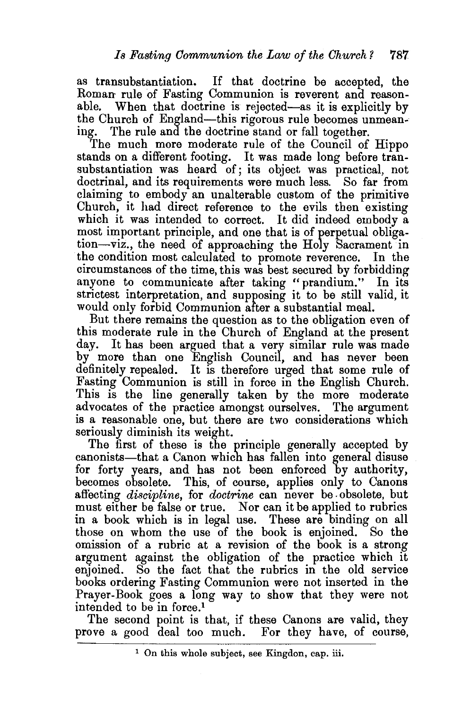as transubstantiation. If that doctrine be accepted, the Roman rule of Fasting Communion is reverent and reasonable. When that doctrine is rejected—as it is explicitly by the Church of England-this rigorous rule becomes unmeaning. The rule and the doctrine stand or fall together.

The much more moderate rule of the Council of Hippo stands on a different footing. It was made long before transubstantiation was heard of; its object was practical, not doctrinal, and its requirements were much less. So far from claiming to embody an unalterable custom of the primitive Church, it had direct reference to the evils then existing which it was intended to correct. It did indeed embody a most important principle, and one that is of perpetual obligation-viz., the need of approaching the Holy Sacrament in the condition most calculated to promote reverence. In the circumstances of the time, this was best secured by forbidding anyone to communicate after taking "prandium." In its strictest interpretation, and supposing it to be still valid, it would only forbid Communion after a substantial meal.

But there remains the question as to the obligation even of this moderate rule in the Church of England at the present day. It has been argued that a very similar rule was made by more than one English Council, and has never been definitely repealed. It is therefore urged that some rule of Fasting Communion is still in force in the English Church. This is the line generally taken by the more moderate advocates of the practice amongst ourselves. The argument is a reasonable one, but there are two considerations which seriously diminish its weight.

The first of these is the principle generally accepted by canonists-that a Canon which has fallen into general disuse for forty years, and has not been enforced by authority, becomes obsolete. This, of course, applies only to Canons affecting *discipline,* for *doctrine* can never be. obsolete, but must either be false or true. Nor can it be applied to rubrics in a book which is in legal use. These are binding on all those on whom the use of the book is enjoined. So the omission of a rubric at a revision of the book is a strong argument against the obligation of the practice which it enjoined. So the fact that the rubrics in the old service books ordering Fasting Communion were not inserted in the Prayer-Book goes a long way to show that they were not intended to be in force.<sup>1</sup>

The second point is that, if these Canons are valid, they prove a good deal too much. For they have, of course,

<sup>1</sup> On this whole subject, see Kingdon, cap. iii.